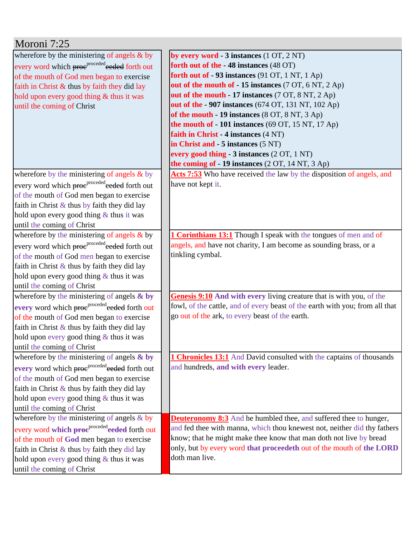| Moroni 7:25                                               |                                                                              |
|-----------------------------------------------------------|------------------------------------------------------------------------------|
| wherefore by the ministering of angels & by               | by every word - $3$ instances $(1 OT, 2 NT)$                                 |
| every word which proe <sup>proceded</sup> eeded forth out | forth out of the -48 instances (48 OT)                                       |
| of the mouth of God men began to exercise                 | forth out of $-93$ instances (91 OT, 1 NT, 1 Ap)                             |
| faith in Christ $\&$ thus by faith they did lay           | out of the mouth of -15 instances (7 OT, 6 NT, 2 Ap)                         |
| hold upon every good thing & thus it was                  | out of the mouth - 17 instances (7 OT, 8 NT, 2 Ap)                           |
| until the coming of Christ                                | out of the - 907 instances (674 OT, 131 NT, 102 Ap)                          |
|                                                           | of the mouth - 19 instances (8 OT, 8 NT, 3 Ap)                               |
|                                                           | the mouth of $-101$ instances (69 OT, 15 NT, 17 Ap)                          |
|                                                           | faith in Christ - 4 instances (4 NT)                                         |
|                                                           | in Christ and - 5 instances (5 NT)                                           |
|                                                           | every good thing - 3 instances (2 OT, 1 NT)                                  |
|                                                           | the coming of $-19$ instances $(2 OT, 14 NT, 3 Ap)$                          |
| wherefore by the ministering of angels $\&$ by            | Acts 7:53 Who have received the law by the disposition of angels, and        |
| every word which proc <sup>proceded</sup> eeded forth out | have not kept it.                                                            |
| of the mouth of God men began to exercise                 |                                                                              |
| faith in Christ $\&$ thus by faith they did lay           |                                                                              |
| hold upon every good thing $&$ thus it was                |                                                                              |
| until the coming of Christ                                |                                                                              |
| wherefore by the ministering of angels $\&$ by            | <b>1 Corinthians 13:1</b> Though I speak with the tongues of men and of      |
| every word which proeproceded eeded forth out             | angels, and have not charity, I am become as sounding brass, or a            |
| of the mouth of God men began to exercise                 | tinkling cymbal.                                                             |
| faith in Christ $\&$ thus by faith they did lay           |                                                                              |
| hold upon every good thing $&$ thus it was                |                                                                              |
| until the coming of Christ                                |                                                                              |
| wherefore by the ministering of angels & by               | Genesis 9:10 And with every living creature that is with you, of the         |
| every word which proe <sup>proceded</sup> eeded forth out | fowl, of the cattle, and of every beast of the earth with you; from all that |
| of the mouth of God men began to exercise                 | go out of the ark, to every beast of the earth.                              |
| faith in Christ $\&$ thus by faith they did lay           |                                                                              |
| hold upon every good thing $&$ thus it was                |                                                                              |
| until the coming of Christ                                |                                                                              |
| wherefore by the ministering of angels $\&$ by            | <b>1 Chronicles 13:1</b> And David consulted with the captains of thousands  |
| every word which proeproceded forth out                   | and hundreds, and with every leader.                                         |
| of the mouth of God men began to exercise                 |                                                                              |
| faith in Christ $\&$ thus by faith they did lay           |                                                                              |
| hold upon every good thing $&$ thus it was                |                                                                              |
| until the coming of Christ                                |                                                                              |
| wherefore by the ministering of angels $&$ by             | <b>Deuteronomy 8:3</b> And he humbled thee, and suffered thee to hunger,     |
| every word which proc <sup>proceded</sup> eeded forth out | and fed thee with manna, which thou knewest not, neither did thy fathers     |
| of the mouth of God men began to exercise                 | know; that he might make thee know that man doth not live by bread           |
| faith in Christ $\&$ thus by faith they did lay           | only, but by every word that proceedeth out of the mouth of the LORD         |
| hold upon every good thing $&$ thus it was                | doth man live.                                                               |
| until the coming of Christ                                |                                                                              |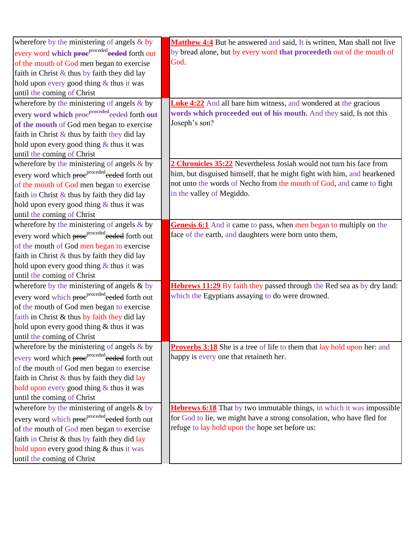| wherefore by the ministering of angels $&$ by             | Matthew 4:4 But he answered and said, It is written, Man shall not live        |
|-----------------------------------------------------------|--------------------------------------------------------------------------------|
| every word which proc <sup>proceded</sup> eeded forth out | by bread alone, but by every word that proceedeth out of the mouth of          |
| of the mouth of God men began to exercise                 | God.                                                                           |
| faith in Christ $\&$ thus by faith they did lay           |                                                                                |
| hold upon every good thing & thus it was                  |                                                                                |
| until the coming of Christ                                |                                                                                |
| wherefore by the ministering of angels $\&$ by            | <b>Luke 4:22</b> And all bare him witness, and wondered at the gracious        |
| every word which proc <sup>proceded</sup> eeded forth out | words which proceeded out of his mouth. And they said, Is not this             |
| of the mouth of God men began to exercise                 | Joseph's son?                                                                  |
| faith in Christ & thus by faith they did lay              |                                                                                |
| hold upon every good thing $&$ thus it was                |                                                                                |
| until the coming of Christ                                |                                                                                |
| wherefore by the ministering of angels $\&$ by            | 2 Chronicles 35:22 Nevertheless Josiah would not turn his face from            |
| every word which proc <sup>proceded</sup> eeded forth out | him, but disguised himself, that he might fight with him, and hearkened        |
| of the mouth of God men began to exercise                 | not unto the words of Necho from the mouth of God, and came to fight           |
| faith in Christ $\&$ thus by faith they did lay           | in the valley of Megiddo.                                                      |
| hold upon every good thing $&$ thus it was                |                                                                                |
| until the coming of Christ                                |                                                                                |
| wherefore by the ministering of angels & by               | <b>Genesis 6:1</b> And it came to pass, when men began to multiply on the      |
| every word which proc <sup>proceded</sup> eeded forth out | face of the earth, and daughters were born unto them,                          |
| of the mouth of God men began to exercise                 |                                                                                |
| faith in Christ $\&$ thus by faith they did lay           |                                                                                |
| hold upon every good thing $&$ thus it was                |                                                                                |
| until the coming of Christ                                |                                                                                |
| wherefore by the ministering of angels & by               | <b>Hebrews 11:29</b> By faith they passed through the Red sea as by dry land:  |
| every word which proc <sup>proceded</sup> eeded forth out | which the Egyptians assaying to do were drowned.                               |
| of the mouth of God men began to exercise                 |                                                                                |
| faith in Christ & thus by faith they did lay              |                                                                                |
| hold upon every good thing & thus it was                  |                                                                                |
| until the coming of Christ                                |                                                                                |
| wherefore by the ministering of angels $\&$ by            | <b>Proverbs 3:18</b> She is a tree of life to them that lay hold upon her: and |
| every word which proc <sup>proceded</sup> eeded forth out | happy is every one that retaineth her.                                         |
| of the mouth of God men began to exercise                 |                                                                                |
| faith in Christ & thus by faith they did lay              |                                                                                |
| hold upon every good thing & thus it was                  |                                                                                |
| until the coming of Christ                                |                                                                                |
| wherefore by the ministering of angels & by               | <b>Hebrews 6:18</b> That by two immutable things, in which it was impossible   |
| every word which proe <sup>proceded</sup> eeded forth out | for God to lie, we might have a strong consolation, who have fled for          |
| of the mouth of God men began to exercise                 | refuge to lay hold upon the hope set before us:                                |
| faith in Christ & thus by faith they did lay              |                                                                                |
| hold upon every good thing & thus it was                  |                                                                                |
| until the coming of Christ                                |                                                                                |